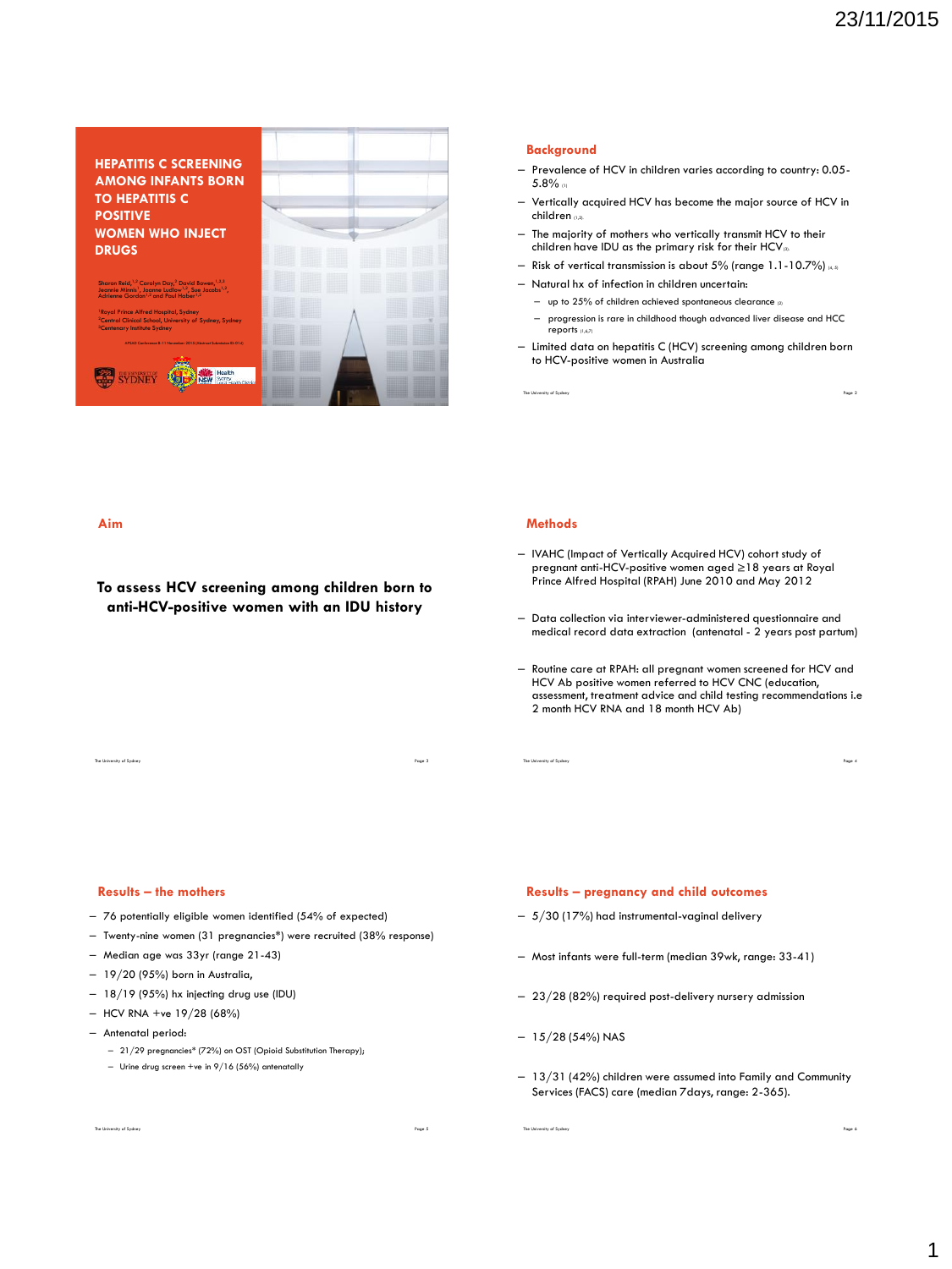

## **Background**

- Prevalence of HCV in children varies according to country: 0.05-  $5.8\%$
- Vertically acquired HCV has become the major source of HCV in children (12
- The majority of mothers who vertically transmit HCV to their children have IDU as the primary risk for their HCV(3).
- Risk of vertical transmission is about  $5\%$  (range  $1.1-10.7\%$ ) (4, 5)
- Natural hx of infection in children uncertain:
	- up to 25% of children achieved spontaneous clearance  $\alpha$
	- progression is rare in childhood though advanced liver disease and HCC reports (1,6,7)
- Limited data on hepatitis C (HCV) screening among children born to HCV-positive women in Australia

The University of Sydney

#### **Aim**

# **To assess HCV screening among children born to anti-HCV-positive women with an IDU history**

#### **Methods**

**The University of Sydne** 

- IVAHC (Impact of Vertically Acquired HCV) cohort study of pregnant anti-HCV-positive women aged ≥18 years at Royal Prince Alfred Hospital (RPAH) June 2010 and May 2012
- Data collection via interviewer-administered questionnaire and medical record data extraction (antenatal - 2 years post partum)
- Routine care at RPAH: all pregnant women screened for HCV and HCV Ab positive women referred to HCV CNC (education, assessment, treatment advice and child testing recommendations i.e 2 month HCV RNA and 18 month HCV Ab)

The University of Sydney Page 3

- - **Results – the mothers**
- 76 potentially eligible women identified (54% of expected)
- Twenty-nine women (31 pregnancies\*) were recruited (38% response)
- Median age was 33yr (range 21-43)
- $-19/20$  (95%) born in Australia,
- 18/19 (95%) hx injecting drug use (IDU)
- HCV RNA +ve 19/28 (68%)
- Antenatal period:
	- 21/29 pregnancies\* (72%) on OST (Opioid Substitution Therapy);
	- $-$  Urine drug screen +ve in 9/16 (56%) antenatally

# **Results – pregnancy and child outcomes**

- 5/30 (17%) had instrumental-vaginal delivery
- Most infants were full-term (median 39wk, range: 33-41)
- 23/28 (82%) required post-delivery nursery admission
- $-15/28(54%)$  NAS

The University of Sydney

– 13/31 (42%) children were assumed into Family and Community Services (FACS) care (median 7days, range: 2-365).

The University of Sydney Page 5